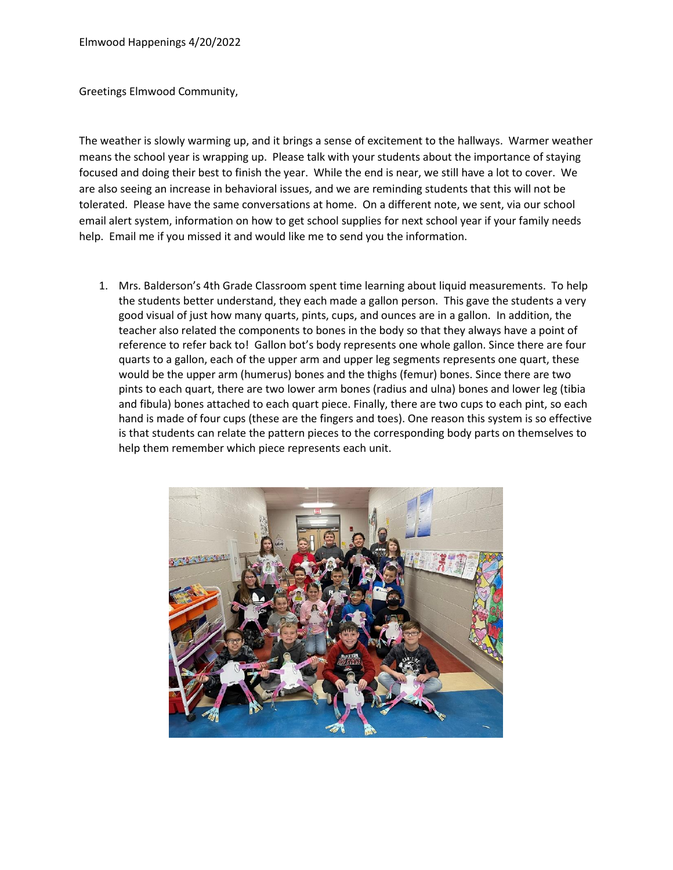Greetings Elmwood Community,

The weather is slowly warming up, and it brings a sense of excitement to the hallways. Warmer weather means the school year is wrapping up. Please talk with your students about the importance of staying focused and doing their best to finish the year. While the end is near, we still have a lot to cover. We are also seeing an increase in behavioral issues, and we are reminding students that this will not be tolerated. Please have the same conversations at home. On a different note, we sent, via our school email alert system, information on how to get school supplies for next school year if your family needs help. Email me if you missed it and would like me to send you the information.

1. Mrs. Balderson's 4th Grade Classroom spent time learning about liquid measurements. To help the students better understand, they each made a gallon person. This gave the students a very good visual of just how many quarts, pints, cups, and ounces are in a gallon. In addition, the teacher also related the components to bones in the body so that they always have a point of reference to refer back to! Gallon bot's body represents one whole gallon. Since there are four quarts to a gallon, each of the upper arm and upper leg segments represents one quart, these would be the upper arm (humerus) bones and the thighs (femur) bones. Since there are two pints to each quart, there are two lower arm bones (radius and ulna) bones and lower leg (tibia and fibula) bones attached to each quart piece. Finally, there are two cups to each pint, so each hand is made of four cups (these are the fingers and toes). One reason this system is so effective is that students can relate the pattern pieces to the corresponding body parts on themselves to help them remember which piece represents each unit.

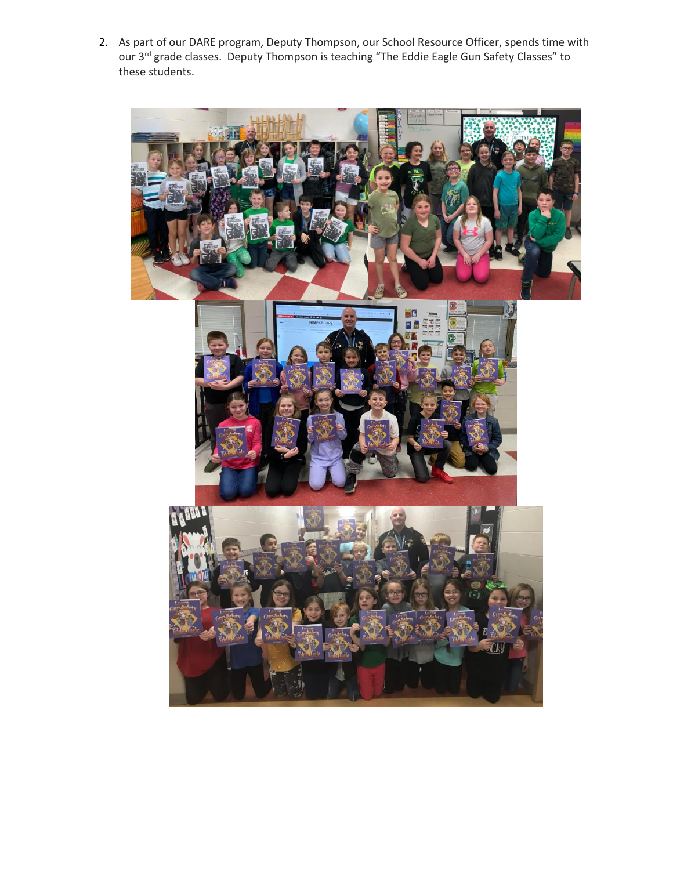2. As part of our DARE program, Deputy Thompson, our School Resource Officer, spends time with our 3<sup>rd</sup> grade classes. Deputy Thompson is teaching "The Eddie Eagle Gun Safety Classes" to these students.

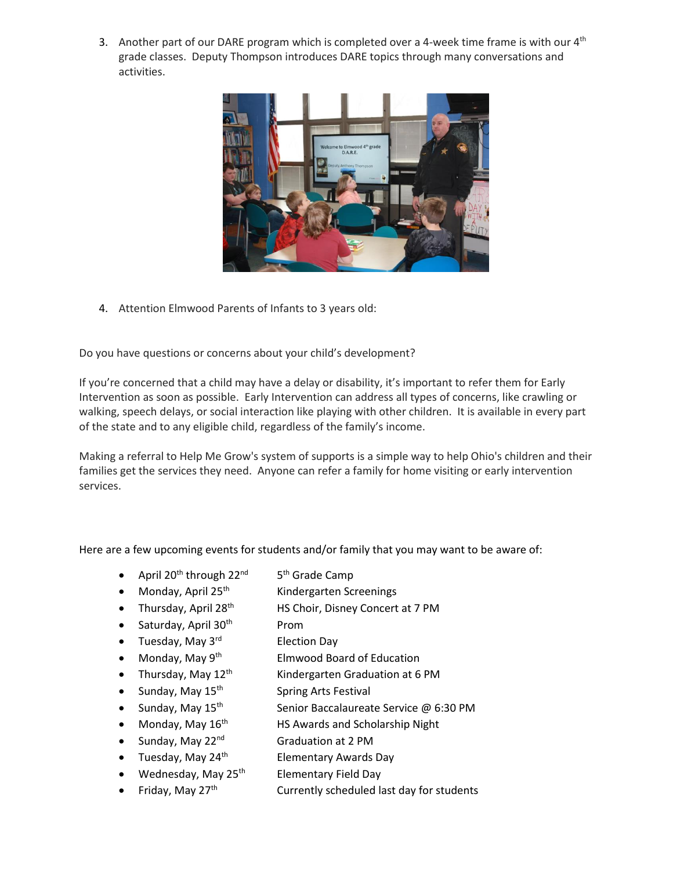3. Another part of our DARE program which is completed over a 4-week time frame is with our  $4<sup>th</sup>$ grade classes. Deputy Thompson introduces DARE topics through many conversations and activities.



4. Attention Elmwood Parents of Infants to 3 years old:

Do you have questions or concerns about your child's development?

If you're concerned that a child may have a delay or disability, it's important to refer them for Early Intervention as soon as possible. Early Intervention can address all types of concerns, like crawling or walking, speech delays, or social interaction like playing with other children. It is available in every part of the state and to any eligible child, regardless of the family's income.

Making a referral to Help Me Grow's system of supports is a simple way to help Ohio's children and their families get the services they need. Anyone can refer a family for home visiting or early intervention services.

Here are a few upcoming events for students and/or family that you may want to be aware of:

- April 20<sup>th</sup> through 22<sup>nd</sup> 5<sup>th</sup> Grade Camp
	- Monday, April 25<sup>th</sup> Kindergarten Screenings
- Thursday, April 28<sup>th</sup> HS Choir, Disney Concert at 7 PM
- Saturday, April  $30<sup>th</sup>$ Prom
- Tuesday, May  $3^{\text{rd}}$ Election Day
- Monday, May 9<sup>th</sup> Elmwood Board of Education
- Thursday, May  $12<sup>th</sup>$  Kindergarten Graduation at 6 PM
- Sunday, May  $15<sup>th</sup>$  Spring Arts Festival
- Sunday, May  $15^{th}$  Senior Baccalaureate Service @ 6:30 PM
- Monday, May  $16<sup>th</sup>$  HS Awards and Scholarship Night
- Sunday, May  $22^{nd}$  Graduation at 2 PM
- Tuesday, May  $24<sup>th</sup>$  Elementary Awards Day
	- Wednesday, May  $25<sup>th</sup>$  Elementary Field Day
- Friday, May 27<sup>th</sup> Currently scheduled last day for students